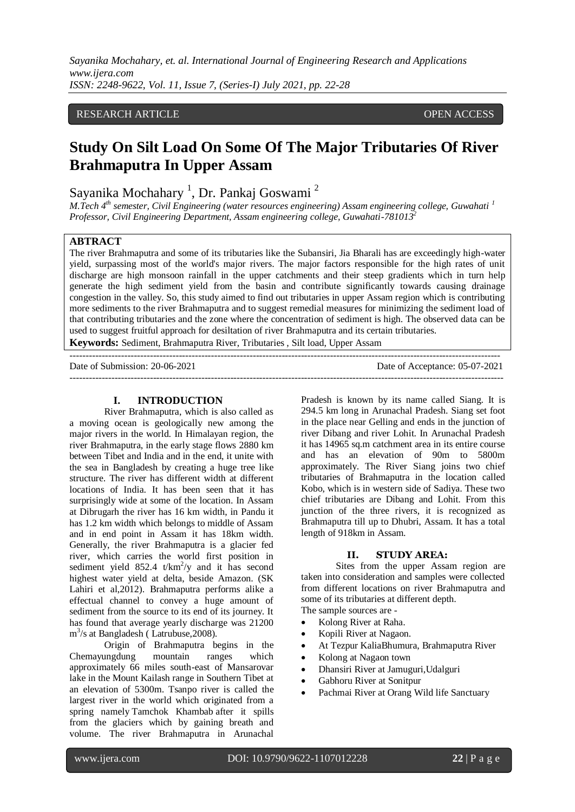## RESEARCH ARTICLE **CONSERVERS** OPEN ACCESS

# **Study On Silt Load On Some Of The Major Tributaries Of River Brahmaputra In Upper Assam**

Sayanika Mochahary<sup>1</sup>, Dr. Pankaj Goswami<sup>2</sup>

*M.Tech 4th semester, Civil Engineering (water resources engineering) Assam engineering college, Guwahati <sup>1</sup> Professor, Civil Engineering Department, Assam engineering college, Guwahati-781013<sup>2</sup>*

## **ABTRACT**

The river Brahmaputra and some of its tributaries like the Subansiri, Jia Bharali has are exceedingly high-water yield, surpassing most of the world's major rivers. The major factors responsible for the high rates of unit discharge are high monsoon rainfall in the upper catchments and their steep gradients which in turn help generate the high sediment yield from the basin and contribute significantly towards causing drainage congestion in the valley. So, this study aimed to find out tributaries in upper Assam region which is contributing more sediments to the river Brahmaputra and to suggest remedial measures for minimizing the sediment load of that contributing tributaries and the zone where the concentration of sediment is high. The observed data can be used to suggest fruitful approach for desiltation of river Brahmaputra and its certain tributaries.

**Keywords:** Sediment, Brahmaputra River, Tributaries , Silt load, Upper Assam

-------------------------------------------------------------------------------------------------------------------------------------- Date of Submission: 20-06-2021 Date of Acceptance: 05-07-2021

---------------------------------------------------------------------------------------------------------------------------------------

#### **I. INTRODUCTION**

River Brahmaputra, which is also called as a moving ocean is geologically new among the major rivers in the world. In Himalayan region, the river Brahmaputra, in the early stage flows 2880 km between Tibet and India and in the end, it unite with the sea in Bangladesh by creating a huge tree like structure. The river has different width at different locations of India. It has been seen that it has surprisingly wide at some of the location. In Assam at Dibrugarh the river has 16 km width, in Pandu it has 1.2 km width which belongs to middle of Assam and in end point in Assam it has 18km width. Generally, the river Brahmaputra is a glacier fed river, which carries the world first position in sediment yield  $852.4$  t/km<sup>2</sup>/y and it has second highest water yield at delta, beside Amazon. (SK Lahiri et al,2012). Brahmaputra performs alike a effectual channel to convey a huge amount of sediment from the source to its end of its journey. It has found that average yearly discharge was 21200 m 3 /s at Bangladesh ( Latrubuse,2008).

Origin of Brahmaputra begins in the Chemayungdung mountain ranges which approximately 66 miles south-east of Mansarovar lake in the Mount Kailash range in Southern Tibet at an elevation of 5300m. Tsanpo river is called the largest river in the world which originated from a spring namely Tamchok Khambab after it spills from the glaciers which by gaining breath and volume. The river Brahmaputra in Arunachal Pradesh is known by its name called Siang. It is 294.5 km long in Arunachal Pradesh. Siang set foot in the place near Gelling and ends in the junction of river Dibang and river Lohit. In Arunachal Pradesh it has 14965 sq.m catchment area in its entire course and has an elevation of 90m to 5800m approximately. The River Siang joins two chief tributaries of Brahmaputra in the location called Kobo, which is in western side of Sadiya. These two chief tributaries are Dibang and Lohit. From this junction of the three rivers, it is recognized as Brahmaputra till up to Dhubri, Assam. It has a total length of 918km in Assam.

## **II. STUDY AREA:**

Sites from the upper Assam region are taken into consideration and samples were collected from different locations on river Brahmaputra and some of its tributaries at different depth. The sample sources are -

- 
- Kolong River at Raha.
- Kopili River at Nagaon.
- At Tezpur KaliaBhumura, Brahmaputra River
- Kolong at Nagaon town
- Dhansiri River at Jamuguri,Udalguri
- Gabhoru River at Sonitpur
- Pachmai River at Orang Wild life Sanctuary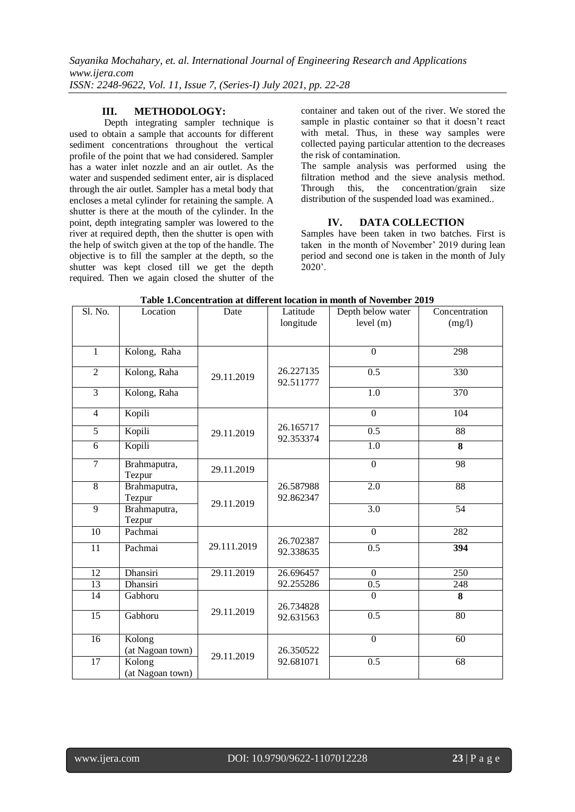## **III. METHODOLOGY:**

Depth integrating sampler technique is used to obtain a sample that accounts for different sediment concentrations throughout the vertical profile of the point that we had considered. Sampler has a water inlet nozzle and an air outlet. As the water and suspended sediment enter, air is displaced through the air outlet. Sampler has a metal body that encloses a metal cylinder for retaining the sample. A shutter is there at the mouth of the cylinder. In the point, depth integrating sampler was lowered to the river at required depth, then the shutter is open with the help of switch given at the top of the handle. The objective is to fill the sampler at the depth, so the shutter was kept closed till we get the depth required. Then we again closed the shutter of the container and taken out of the river. We stored the sample in plastic container so that it doesn't react with metal. Thus, in these way samples were collected paying particular attention to the decreases the risk of contamination.

The sample analysis was performed using the filtration method and the sieve analysis method. Through this, the concentration/grain size distribution of the suspended load was examined..

## **IV. DATA COLLECTION**

Samples have been taken in two batches. First is taken in the month of November' 2019 during lean period and second one is taken in the month of July 2020'.

| Sl. No.                  | Location                   | Date        | Latitude               | Depth below water | Concentration   |
|--------------------------|----------------------------|-------------|------------------------|-------------------|-----------------|
|                          |                            |             | longitude              | level(m)          | (mg/l)          |
|                          |                            |             |                        |                   |                 |
| $\mathbf{1}$             | Kolong, Raha               |             |                        | $\overline{0}$    | 298             |
| $\overline{2}$           | Kolong, Raha               | 29.11.2019  | 26.227135<br>92.511777 | 0.5               | 330             |
| $\overline{3}$           | Kolong, Raha               |             |                        | $\overline{1.0}$  | 370             |
| $\overline{\mathcal{L}}$ | Kopili                     |             | 26.165717<br>92.353374 | $\theta$          | 104             |
| 5                        | Kopili                     | 29.11.2019  |                        | 0.5               | 88              |
| $\overline{6}$           | Kopili                     |             |                        | 1.0               | 8               |
| $\overline{7}$           | Brahmaputra,<br>Tezpur     | 29.11.2019  |                        | $\mathbf{0}$      | 98              |
| $\overline{8}$           | Brahmaputra,<br>Tezpur     | 29.11.2019  | 26.587988<br>92.862347 | 2.0               | 88              |
| 9                        | Brahmaputra,<br>Tezpur     |             |                        | 3.0               | $\overline{54}$ |
| 10                       | Pachmai                    |             | 26.702387<br>92.338635 | $\Omega$          | 282             |
| 11                       | Pachmai                    | 29.111.2019 |                        | 0.5               | 394             |
| 12                       | Dhansiri                   | 29.11.2019  | 26.696457              | $\theta$          | 250             |
| 13                       | Dhansiri                   |             | 92.255286              | 0.5               | 248             |
| 14                       | Gabhoru                    |             | 26.734828<br>92.631563 | $\theta$          | 8               |
| 15                       | Gabhoru                    | 29.11.2019  |                        | 0.5               | 80              |
| 16                       | Kolong<br>(at Nagoan town) | 29.11.2019  | 26.350522<br>92.681071 | $\overline{0}$    | 60              |
| 17                       | Kolong<br>(at Nagoan town) |             |                        | 0.5               | 68              |

## **Table 1.Concentration at different location in month of November 2019**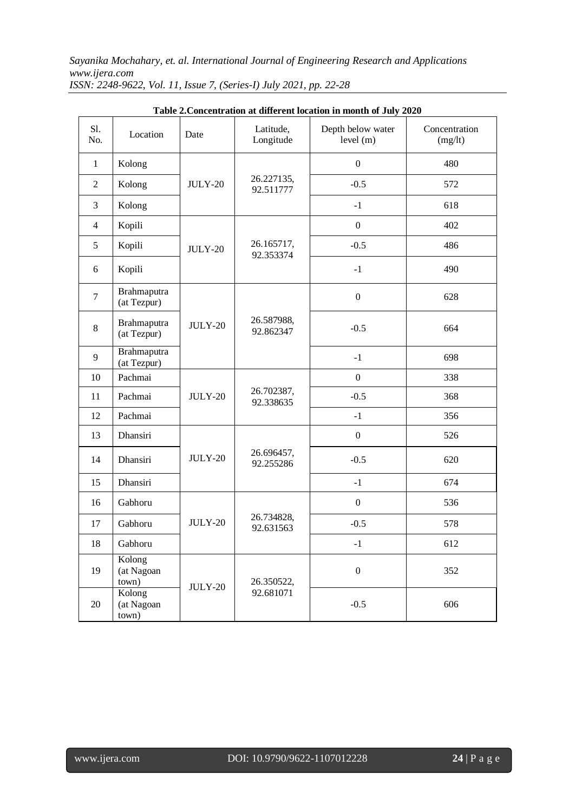| Sl.<br>No.     | Location                      | Date           | Latitude,<br>Longitude  | Depth below water<br>level (m) | Concentration<br>(mg/lt) |
|----------------|-------------------------------|----------------|-------------------------|--------------------------------|--------------------------|
| $\mathbf{1}$   | Kolong                        |                | 26.227135,<br>92.511777 | $\mathbf{0}$                   | 480                      |
| $\overline{2}$ | Kolong                        | <b>JULY-20</b> |                         | $-0.5$                         | 572                      |
| 3              | Kolong                        |                |                         | $-1$                           | 618                      |
| $\overline{4}$ | Kopili                        |                | 26.165717,<br>92.353374 | $\mathbf{0}$                   | 402                      |
| 5              | Kopili                        | <b>JULY-20</b> |                         | $-0.5$                         | 486                      |
| 6              | Kopili                        |                |                         | $-1$                           | 490                      |
| $\overline{7}$ | Brahmaputra<br>(at Tezpur)    | <b>JULY-20</b> | 26.587988,<br>92.862347 | $\boldsymbol{0}$               | 628                      |
| 8              | Brahmaputra<br>(at Tezpur)    |                |                         | $-0.5$                         | 664                      |
| 9              | Brahmaputra<br>(at Tezpur)    |                |                         | $-1$                           | 698                      |
| 10             | Pachmai                       |                | 26.702387,<br>92.338635 | $\overline{0}$                 | 338                      |
| 11             | Pachmai                       | <b>JULY-20</b> |                         | $-0.5$                         | 368                      |
| 12             | Pachmai                       |                |                         | $-1$                           | 356                      |
| 13             | Dhansiri                      |                | 26.696457,<br>92.255286 | $\boldsymbol{0}$               | 526                      |
| 14             | Dhansiri                      | <b>JULY-20</b> |                         | $-0.5$                         | 620                      |
| 15             | Dhansiri                      |                |                         | $-1$                           | 674                      |
| 16             | Gabhoru                       |                | 26.734828,<br>92.631563 | $\mathbf{0}$                   | 536                      |
| 17             | Gabhoru                       | <b>JULY-20</b> |                         | $-0.5$                         | 578                      |
| 18             | Gabhoru                       |                |                         | $^{\rm -1}$                    | 612                      |
| 19             | Kolong<br>(at Nagoan<br>town) | JULY-20        | 26.350522,<br>92.681071 | $\boldsymbol{0}$               | 352                      |
| 20             | Kolong<br>(at Nagoan<br>town) |                |                         | $-0.5$                         | 606                      |

**Table 2.Concentration at different location in month of July 2020**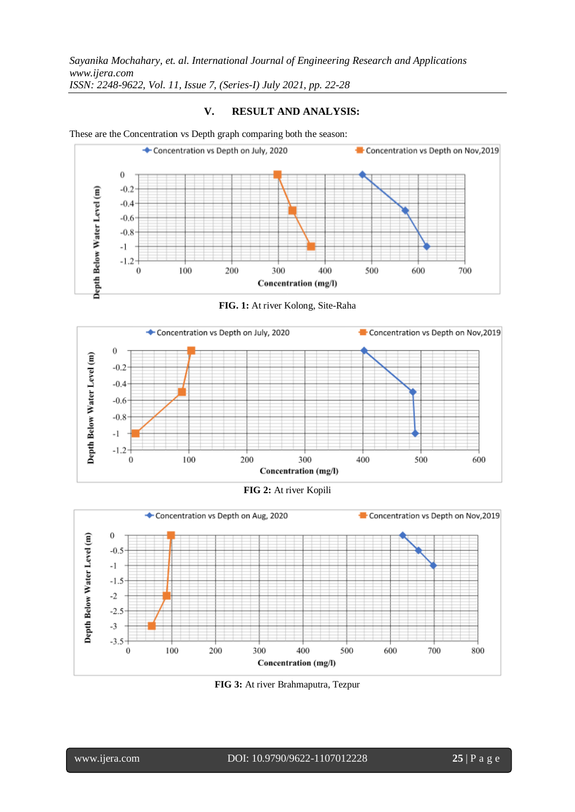## **V. RESULT AND ANALYSIS:**

These are the Concentration vs Depth graph comparing both the season:



**FIG. 1:** At river Kolong, Site-Raha







**FIG 3:** At river Brahmaputra, Tezpur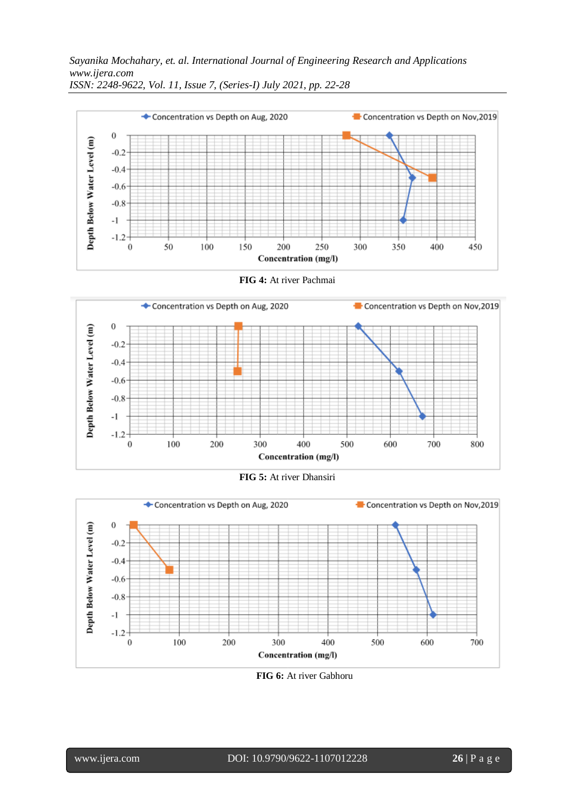





**FIG 6:** At river Gabhoru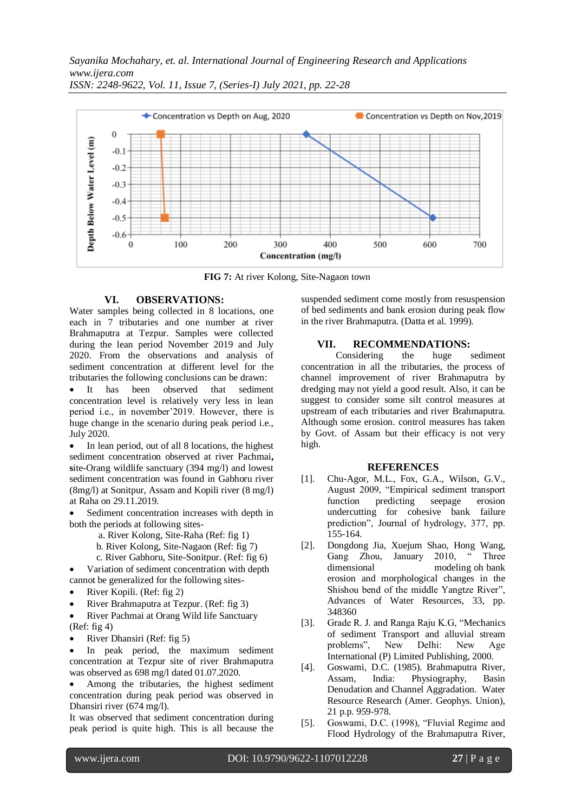

**FIG 7:** At river Kolong, Site-Nagaon town

## **VI. OBSERVATIONS:**

Water samples being collected in 8 locations, one each in 7 tributaries and one number at river Brahmaputra at Tezpur. Samples were collected during the lean period November 2019 and July 2020. From the observations and analysis of sediment concentration at different level for the tributaries the following conclusions can be drawn:

 It has been observed that sediment concentration level is relatively very less in lean period i.e., in november'2019. However, there is huge change in the scenario during peak period i.e., July 2020.

• In lean period, out of all 8 locations, the highest sediment concentration observed at river Pachmai**, s**ite-Orang wildlife sanctuary (394 mg/l) and lowest sediment concentration was found in Gabhoru river (8mg/l) at Sonitpur, Assam and Kopili river (8 mg/l) at Raha on 29.11.2019.

 Sediment concentration increases with depth in both the periods at following sites-

a. River Kolong, Site-Raha (Ref: fig 1)

- b. River Kolong, Site-Nagaon (Ref: fig 7)
- c. River Gabhoru, Site-Sonitpur. (Ref: fig 6)

 Variation of sediment concentration with depth cannot be generalized for the following sites-

- River Kopili. (Ref: fig 2)
- River Brahmaputra at Tezpur. (Ref: fig 3)

 River Pachmai at Orang Wild life Sanctuary (Ref: fig 4)

River Dhansiri (Ref: fig 5)

 In peak period, the maximum sediment concentration at Tezpur site of river Brahmaputra was observed as 698 mg/l dated 01.07.2020.

 Among the tributaries, the highest sediment concentration during peak period was observed in Dhansiri river (674 mg/l).

It was observed that sediment concentration during peak period is quite high. This is all because the suspended sediment come mostly from resuspension of bed sediments and bank erosion during peak flow in the river Brahmaputra. (Datta et al. 1999).

## **VII. RECOMMENDATIONS:**

Considering the huge sediment concentration in all the tributaries, the process of channel improvement of river Brahmaputra by dredging may not yield a good result. Also, it can be suggest to consider some silt control measures at upstream of each tributaries and river Brahmaputra. Although some erosion. control measures has taken by Govt. of Assam but their efficacy is not very high.

#### **REFERENCES**

- [1]. Chu-Agor, M.L., Fox, G.A., Wilson, G.V., August 2009, "Empirical sediment transport function predicting seepage erosion undercutting for cohesive bank failure prediction", Journal of hydrology, 377, pp. 155-164.
- [2]. Dongdong Jia, Xuejum Shao, Hong Wang, Gang Zhou, January dimensional modeling oh bank erosion and morphological changes in the Shishou bend of the middle Yangtze River", Advances of Water Resources, 33, pp. 348360
- [3]. Grade R. J. and Ranga Raju K.G, "Mechanics of sediment Transport and alluvial stream<br>problems", New Delhi: New Age problems", New Delhi: New Age International (P) Limited Publishing, 2000.
- [4]. Goswami, D.C. (1985). Brahmaputra River, Assam, India: Physiography, Basin Denudation and Channel Aggradation. Water Resource Research (Amer. Geophys. Union), 21 p.p. 959-978.
- [5]. Goswami, D.C. (1998), "Fluvial Regime and Flood Hydrology of the Brahmaputra River,